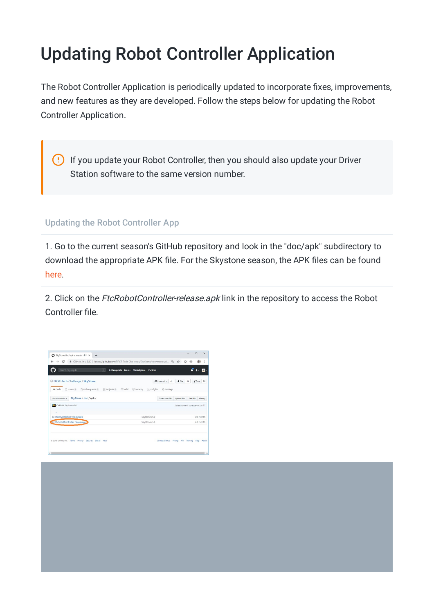## Updating Robot Controller Application

The Robot Controller Application is periodically updated to incorporate fixes, improvements, and new features as they are developed. Follow the steps below for updating the Robot Controller Application.

If you update your Robot Controller, then you should also update your Driver  $\left( \cdot \right)$ Station software to the same version number.

Updating the Robot Controller App

1. Go to the current season's GitHub repository and look in the "doc/apk" subdirectory to download the appropriate APK file. For the Skystone season, the APK files can be found [here](https://github.com/FIRST-Tech-Challenge/SkyStone/tree/master/doc/apk).

2. Click on the FtcRobotController-release.apk link in the repository to access the Robot Controller file.

| ☆ ◎<br>☆<br>  四 -<br>Y Fork<br>* Star<br>14 |
|---------------------------------------------|
|                                             |
|                                             |
|                                             |
|                                             |
| <b>Upload files</b><br>Find file<br>History |
| Latest commit cc4ecce on Jun 17             |
| last month                                  |
| last month                                  |
|                                             |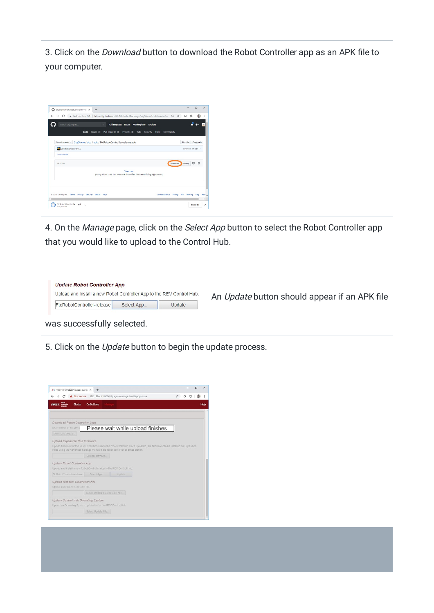3. Click on the Download button to download the Robot Controller app as an APK file to your computer.



4. On the Manage page, click on the Select App button to select the Robot Controller app that you would like to upload to the Control Hub.

| <b>Update Robot Controller App</b>                                    |             |        |
|-----------------------------------------------------------------------|-------------|--------|
| Upload and install a new Robot Controller App to the REV Control Hub. |             |        |
| FtcRobotController-release.                                           | Select App. | Update |

An Update button should appear if an APK file

was successfully selected.

5. Click on the Update button to begin the update process.

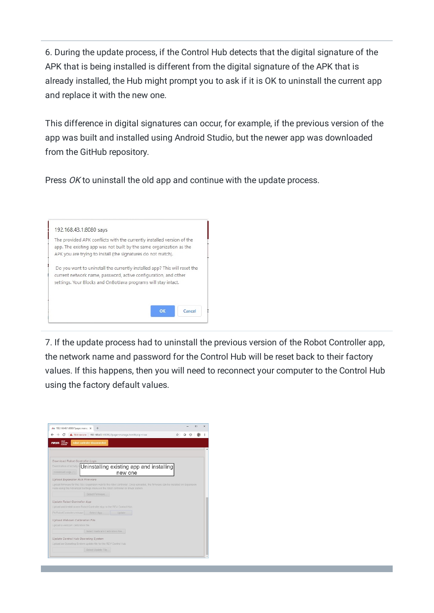6. During the update process, if the Control Hub detects that the digital signature of the APK that is being installed is different from the digital signature of the APK that is already installed, the Hub might prompt you to ask if it is OK to uninstall the current app and replace it with the new one.

This difference in digital signatures can occur, for example, if the previous version of the app was built and installed using Android Studio, but the newer app was downloaded from the GitHub repository.

Press OK to uninstall the old app and continue with the update process.



7. If the update process had to uninstall the previous version of the Robot Controller app, the network name and password for the Control Hub will be reset back to their factory values. If this happens, then you will need to reconnect your computer to the Control Hub using the factory default values.

| Ao 192.168.43.1:8080/?page=mana: X                                    | ÷                               |                                                                                                                              |  |  | п | $\times$ |
|-----------------------------------------------------------------------|---------------------------------|------------------------------------------------------------------------------------------------------------------------------|--|--|---|----------|
|                                                                       |                                 | Not secure   192.168.43.1:8080/?page=manage.html8:pop=true                                                                   |  |  |   |          |
| <b>FIRST.</b>                                                         | robot controller disconnected   |                                                                                                                              |  |  |   |          |
|                                                                       |                                 |                                                                                                                              |  |  |   |          |
|                                                                       |                                 |                                                                                                                              |  |  |   |          |
| Download Robot Controller Logs                                        |                                 |                                                                                                                              |  |  |   |          |
|                                                                       |                                 | Examination of activity I Uninstalling existing app and installing                                                           |  |  |   |          |
| Download Logs (1)                                                     |                                 | new one                                                                                                                      |  |  |   |          |
| <b>Upload Expansion Hub Firmware</b>                                  |                                 |                                                                                                                              |  |  |   |          |
|                                                                       |                                 | Upload firmware for the REV Expansion Hub to the robot controller. Once uploaded, the firmware can be installed on Expansion |  |  |   |          |
|                                                                       |                                 | Hubs using the Advanced Settings menu on the robot controller or driver station.                                             |  |  |   |          |
|                                                                       | Select Firmware.                |                                                                                                                              |  |  |   |          |
| Update Robot Controller App                                           |                                 |                                                                                                                              |  |  |   |          |
| Upload and install a new Robot Controller App to the REV Control Hub. |                                 |                                                                                                                              |  |  |   |          |
| FtcRobotController-release                                            | Select App.                     | <b>Update</b>                                                                                                                |  |  |   |          |
| Upload Webcam Calibration File                                        |                                 |                                                                                                                              |  |  |   |          |
| Upload a webcam calibration file.                                     |                                 |                                                                                                                              |  |  |   |          |
|                                                                       | Select Webcam Calibration File. |                                                                                                                              |  |  |   |          |
|                                                                       |                                 |                                                                                                                              |  |  |   |          |
| Update Control Hub Operating System                                   |                                 |                                                                                                                              |  |  |   |          |
|                                                                       |                                 |                                                                                                                              |  |  |   |          |
| Upload an Operating System update file for the REV Control Hub        | Select Update File.             |                                                                                                                              |  |  |   |          |